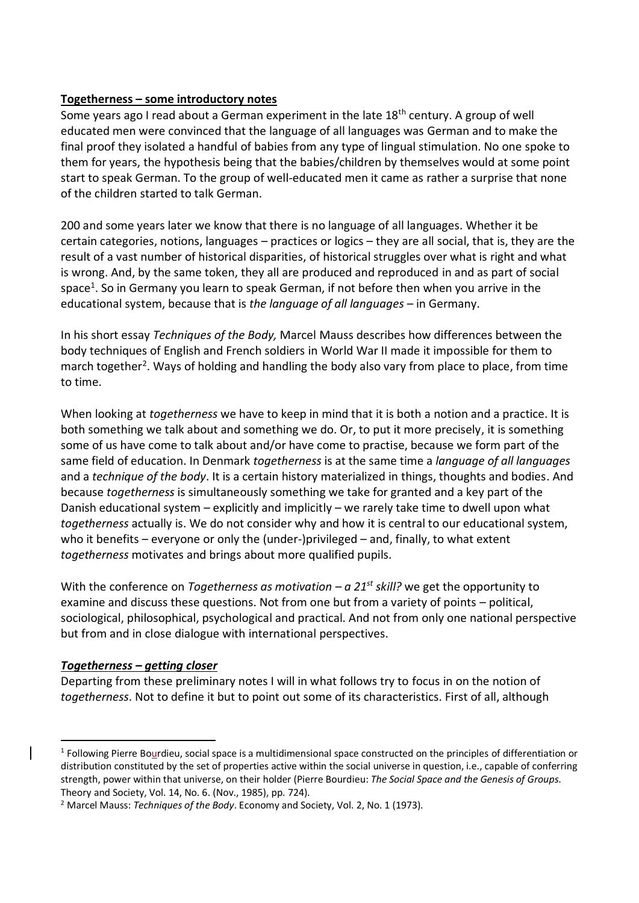## **Togetherness – some introductory notes**

Some years ago I read about a German experiment in the late 18<sup>th</sup> century. A group of well educated men were convinced that the language of all languages was German and to make the final proof they isolated a handful of babies from any type of lingual stimulation. No one spoke to them for years, the hypothesis being that the babies/children by themselves would at some point start to speak German. To the group of well-educated men it came as rather a surprise that none of the children started to talk German.

200 and some years later we know that there is no language of all languages. Whether it be certain categories, notions, languages – practices or logics – they are all social, that is, they are the result of a vast number of historical disparities, of historical struggles over what is right and what is wrong. And, by the same token, they all are produced and reproduced in and as part of social space<sup>1</sup>. So in Germany you learn to speak German, if not before then when you arrive in the educational system, because that is *the language of all languages* – in Germany.

In his short essay *Techniques of the Body,* Marcel Mauss describes how differences between the body techniques of English and French soldiers in World War II made it impossible for them to march together<sup>2</sup>. Ways of holding and handling the body also vary from place to place, from time to time.

When looking at *togetherness* we have to keep in mind that it is both a notion and a practice. It is both something we talk about and something we do. Or, to put it more precisely, it is something some of us have come to talk about and/or have come to practise, because we form part of the same field of education. In Denmark *togetherness* is at the same time a *language of all languages* and a *technique of the body*. It is a certain history materialized in things, thoughts and bodies. And because *togetherness* is simultaneously something we take for granted and a key part of the Danish educational system – explicitly and implicitly – we rarely take time to dwell upon what *togetherness* actually is. We do not consider why and how it is central to our educational system, who it benefits – everyone or only the (under-)privileged – and, finally, to what extent *togetherness* motivates and brings about more qualified pupils.

With the conference on *Togetherness as motivation – a 21st skill?* we get the opportunity to examine and discuss these questions. Not from one but from a variety of points – political, sociological, philosophical, psychological and practical. And not from only one national perspective but from and in close dialogue with international perspectives.

## *Togetherness – getting closer*

 $\overline{a}$ 

Departing from these preliminary notes I will in what follows try to focus in on the notion of *togetherness*. Not to define it but to point out some of its characteristics. First of all, although

<sup>&</sup>lt;sup>1</sup> Following Pierre Bourdieu, social space is a multidimensional space constructed on the principles of differentiation or distribution constituted by the set of properties active within the social universe in question, i.e., capable of conferring strength, power within that universe, on their holder (Pierre Bourdieu: *The Social Space and the Genesis of Groups*. Theory and Society, Vol. 14, No. 6. (Nov., 1985), pp. 724).

<sup>2</sup> Marcel Mauss: *Techniques of the Body*. Economy and Society, Vol. 2, No. 1 (1973).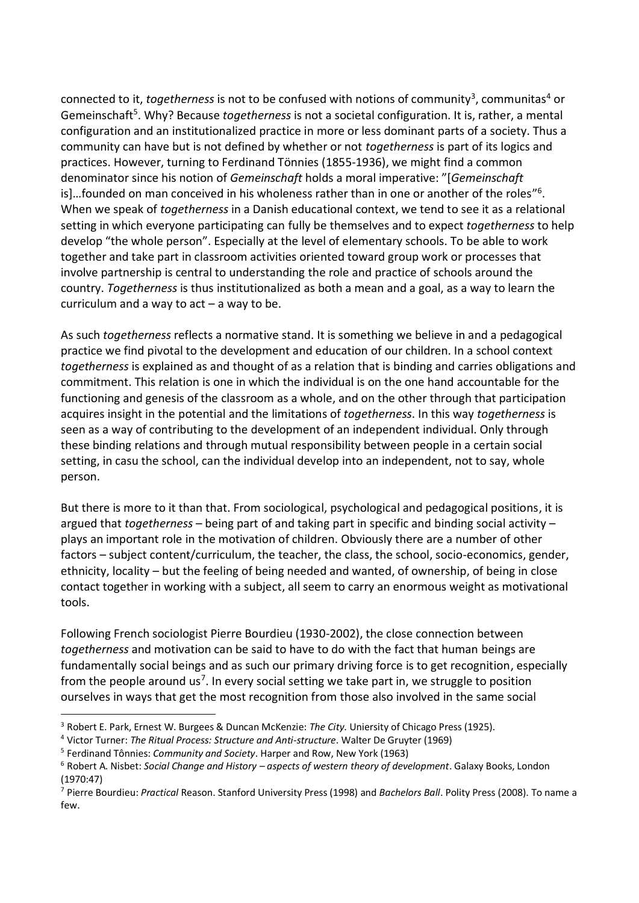connected to it, *togetherness* is not to be confused with notions of community<sup>3</sup>, communitas<sup>4</sup> or Gemeinschaft<sup>5</sup>. Why? Because *togetherness* is not a societal configuration. It is, rather, a mental configuration and an institutionalized practice in more or less dominant parts of a society. Thus a community can have but is not defined by whether or not *togetherness* is part of its logics and practices. However, turning to Ferdinand Tönnies (1855-1936), we might find a common denominator since his notion of *Gemeinschaft* holds a moral imperative: "[*Gemeinschaft* is]...founded on man conceived in his wholeness rather than in one or another of the roles"<sup>6</sup>. When we speak of *togetherness* in a Danish educational context, we tend to see it as a relational setting in which everyone participating can fully be themselves and to expect *togetherness* to help develop "the whole person". Especially at the level of elementary schools. To be able to work together and take part in classroom activities oriented toward group work or processes that involve partnership is central to understanding the role and practice of schools around the country. *Togetherness* is thus institutionalized as both a mean and a goal, as a way to learn the curriculum and a way to  $act - a$  way to be.

As such *togetherness* reflects a normative stand. It is something we believe in and a pedagogical practice we find pivotal to the development and education of our children. In a school context *togetherness* is explained as and thought of as a relation that is binding and carries obligations and commitment. This relation is one in which the individual is on the one hand accountable for the functioning and genesis of the classroom as a whole, and on the other through that participation acquires insight in the potential and the limitations of *togetherness*. In this way *togetherness* is seen as a way of contributing to the development of an independent individual. Only through these binding relations and through mutual responsibility between people in a certain social setting, in casu the school, can the individual develop into an independent, not to say, whole person.

But there is more to it than that. From sociological, psychological and pedagogical positions, it is argued that *togetherness* – being part of and taking part in specific and binding social activity – plays an important role in the motivation of children. Obviously there are a number of other factors – subject content/curriculum, the teacher, the class, the school, socio-economics, gender, ethnicity, locality – but the feeling of being needed and wanted, of ownership, of being in close contact together in working with a subject, all seem to carry an enormous weight as motivational tools.

Following French sociologist Pierre Bourdieu (1930-2002), the close connection between *togetherness* and motivation can be said to have to do with the fact that human beings are fundamentally social beings and as such our primary driving force is to get recognition, especially from the people around us<sup>7</sup>. In every social setting we take part in, we struggle to position ourselves in ways that get the most recognition from those also involved in the same social

 $\overline{a}$ <sup>3</sup> Robert E. Park, Ernest W. Burgees & Duncan McKenzie: *The City*. Uniersity of Chicago Press (1925).

<sup>4</sup> Victor Turner: *The Ritual Process: Structure and Anti-structure*. Walter De Gruyter (1969)

<sup>5</sup> Ferdinand Tônnies: *Community and Society*. Harper and Row, New York (1963)

<sup>6</sup> Robert A. Nisbet: *Social Change and History – aspects of western theory of development*. Galaxy Books, London (1970:47)

<sup>7</sup> Pierre Bourdieu: *Practical* Reason. Stanford University Press (1998) and *Bachelors Ball*. Polity Press (2008). To name a few.